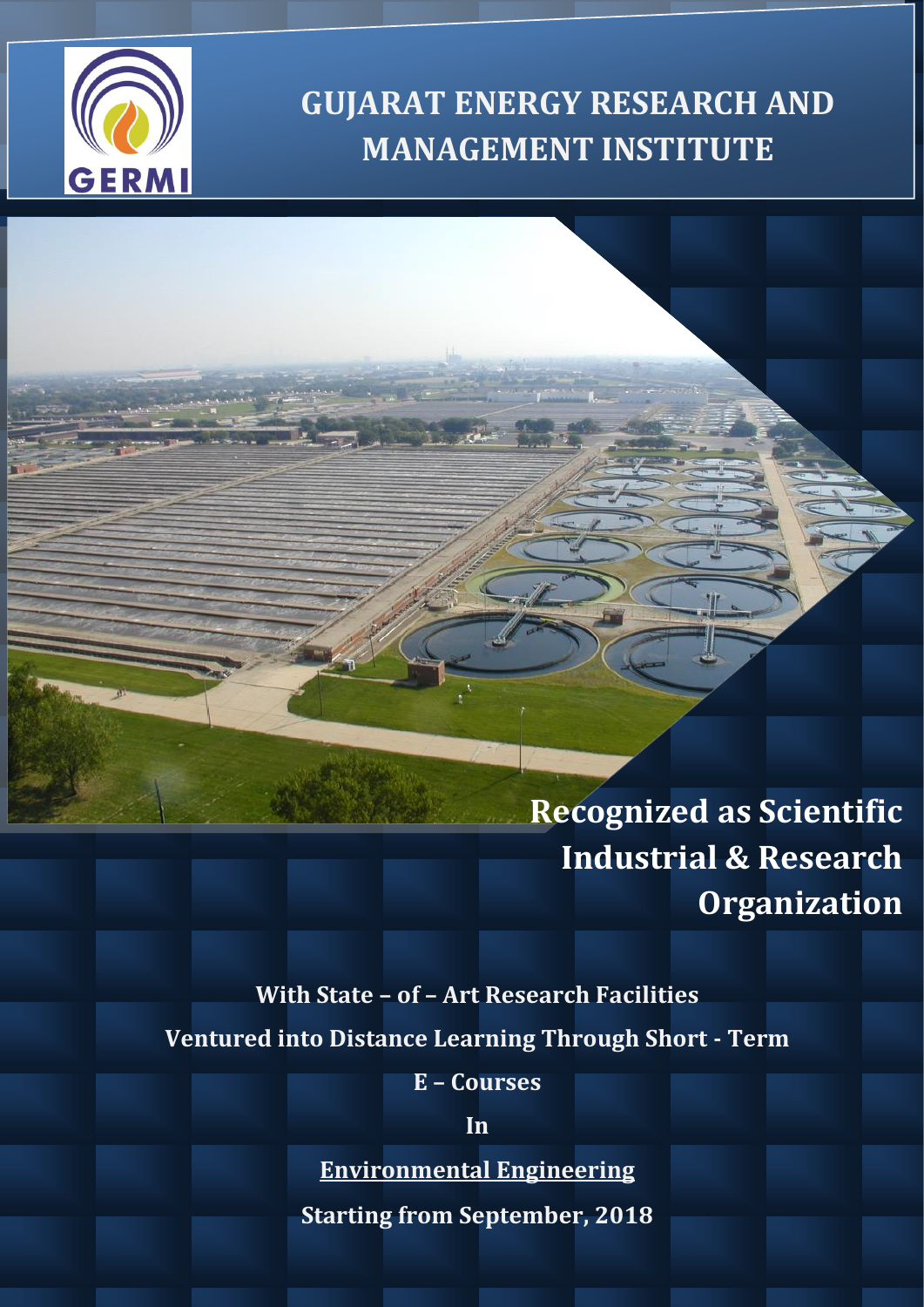

# **GUJARAT ENERGY RESEARCH AND MANAGEMENT INSTITUTE**

**Recognized as Scientific Industrial & Research Organization**

### **With State – of – Art Research Facilities Ventured into Distance Learning Through Short - Term**

**E – Courses**

**In**

**Environmental Engineering**

**Starting from September, 2018**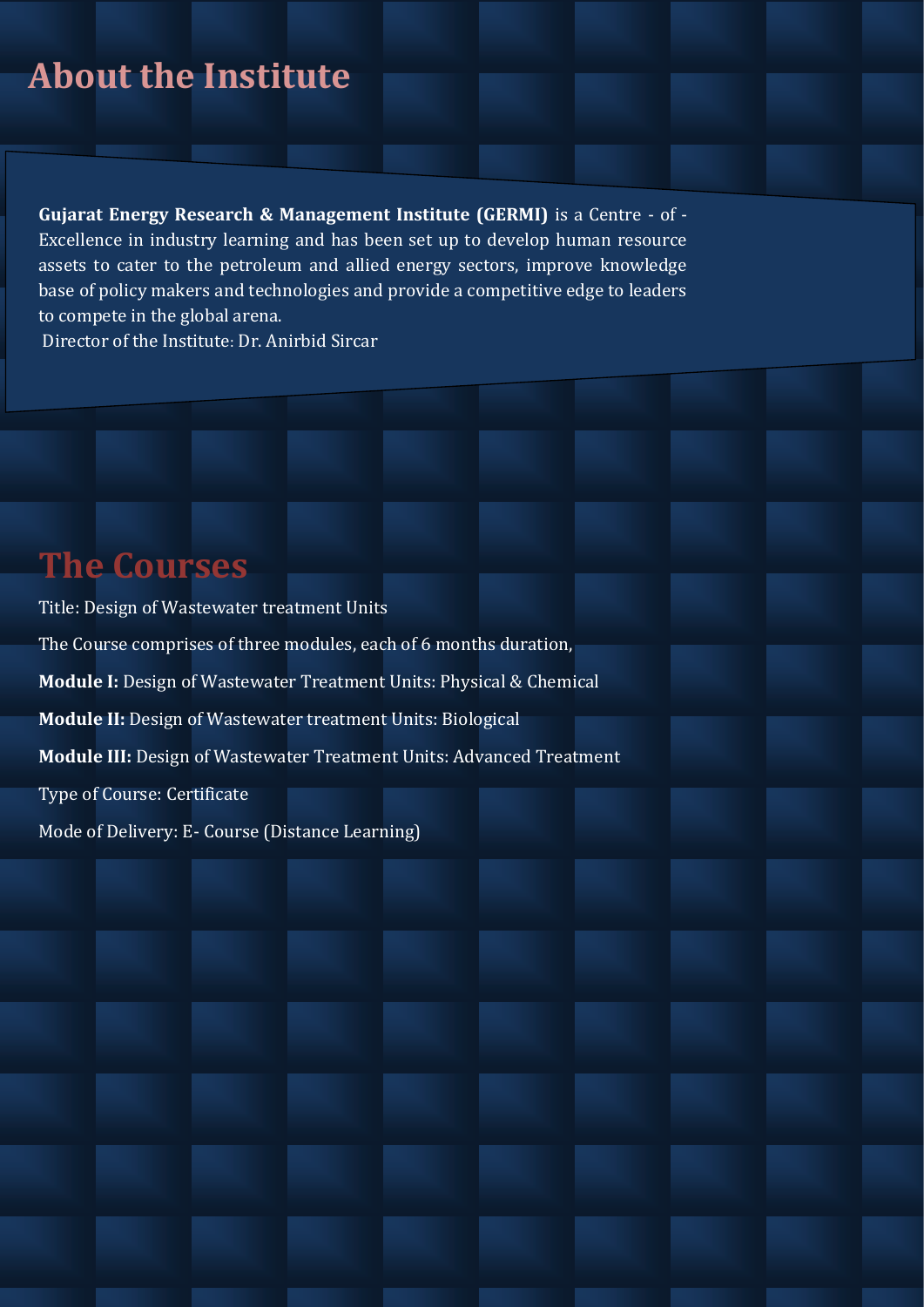# **About the Institute**

**Gujarat Energy Research & Management Institute (GERMI)** is a Centre - of - Excellence in industry learning and has been set up to develop human resource assets to cater to the petroleum and allied energy sectors, improve knowledge base of policy makers and technologies and provide a competitive edge to leaders to compete in the global arena.

Director of the Institute: Dr. Anirbid Sircar

## **The Courses**

Title: Design of Wastewater treatment Units The Course comprises of three modules, each of 6 months duration, **Module I:** Design of Wastewater Treatment Units: Physical & Chemical **Module II:** Design of Wastewater treatment Units: Biological **Module III:** Design of Wastewater Treatment Units: Advanced Treatment Type of Course: Certificate Mode of Delivery: E- Course (Distance Learning)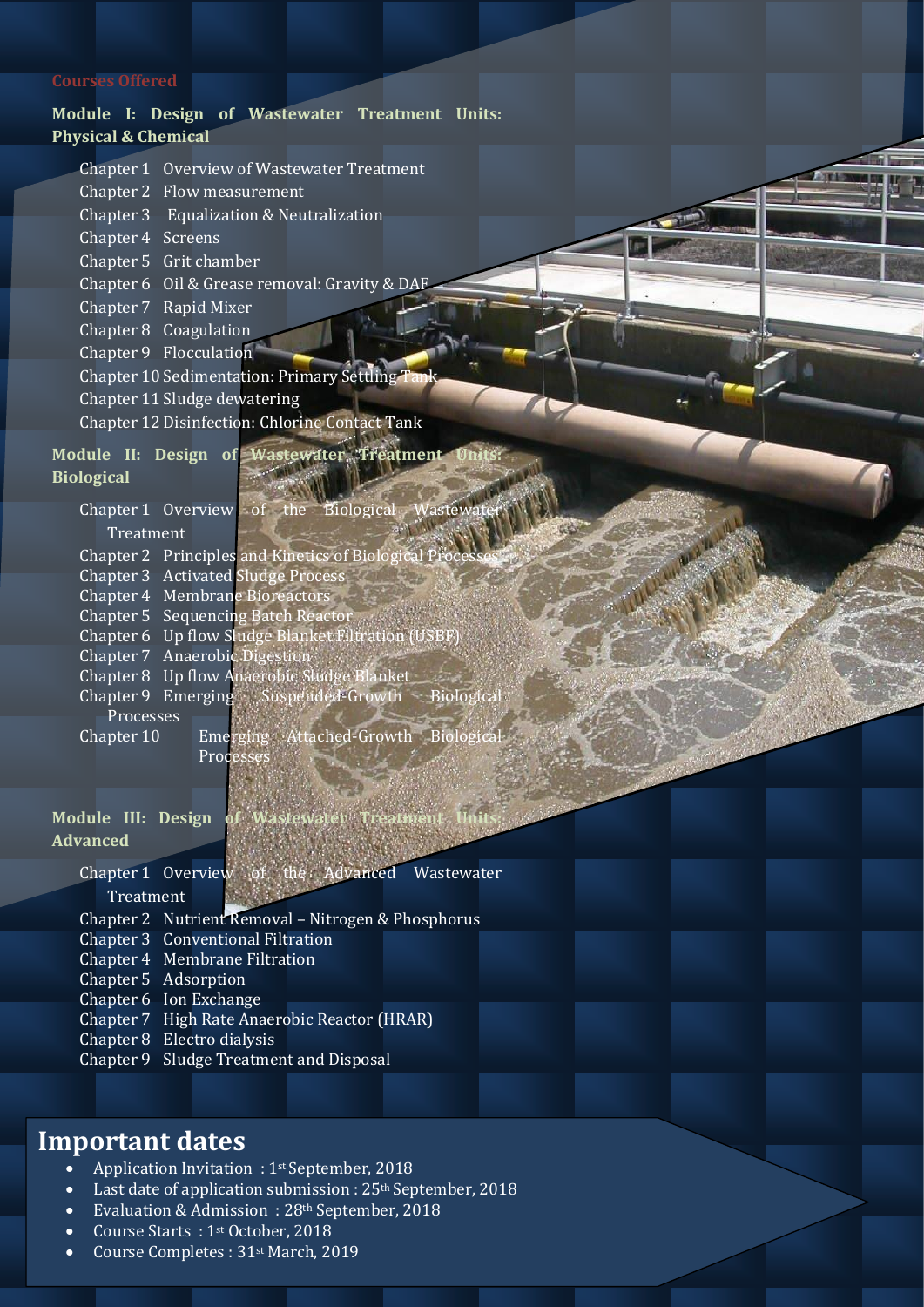### **Courses Offered**

### **Module I: Design of Wastewater Treatment Units: Physical & Chemical**

 $\sim$ 

| Chapter 1 Overview of Wastewater Treatment |  |  |  |  |
|--------------------------------------------|--|--|--|--|
|--------------------------------------------|--|--|--|--|

- Chapter 2 Flow measurement
- Chapter 3 Equalization & Neutralization
- Chapter 4 Screens
- Chapter 5 Grit chamber
- Chapter 6 Oil & Grease removal: Gravity & DAF
- Chapter 7 Rapid Mixer
- Chapter 8 Coagulation
- Chapter 9 Flocculation
- Chapter 10 Sedimentation: Primary Settling Ta
- Chapter 11 Sludge dewatering
- Chapter 12 Disinfection: Chlorine Contact Tank

#### Module II: Design of Wastewater Treatment  $-1$

**Biological** 

Chapter 1 Overview of the Biological Wastey

Treatment

- Chapter 2 Principles and Kinetics of Biological P
- Chapter 3 Activated Sludge Process
- Chapter 4 Membrane Bioreactors
- Chapter 5 Sequencing Batch Reactor
- Chapter 6 Up flow Sludge Blanket Filtration (USBF)
- Chapter 7 Anaerobic Digestion
- Chapter 8 Up flow Anaerobic Sludge Blanket
- Chapter 9 Emerging Suspended-Growth Biological Processes
- Chapter 10 Emerging Attached-Growth Biological Processes

### **Module III: Design Advanced**

- Chapter 1 Overview of the Advanced Wastewater **Treatment**
- Chapter 2 Nutrient Removal Nitrogen & Phosphorus
- Chapter 3 Conventional Filtration
- Chapter 4 Membrane Filtration
- Chapter 5 Adsorption
- Chapter 6 Ion Exchange
- Chapter 7 High Rate Anaerobic Reactor (HRAR)
- Chapter 8 Electro dialysis
- Chapter 9 Sludge Treatment and Disposal

### **Important dates**

- Application Invitation : 1<sup>st</sup> September, 2018
- Last date of application submission : 25<sup>th</sup> September, 2018
- Evaluation & Admission : 28<sup>th</sup> September, 2018
- Course Starts : 1st October, 2018
- Course Completes : 31st March, 2019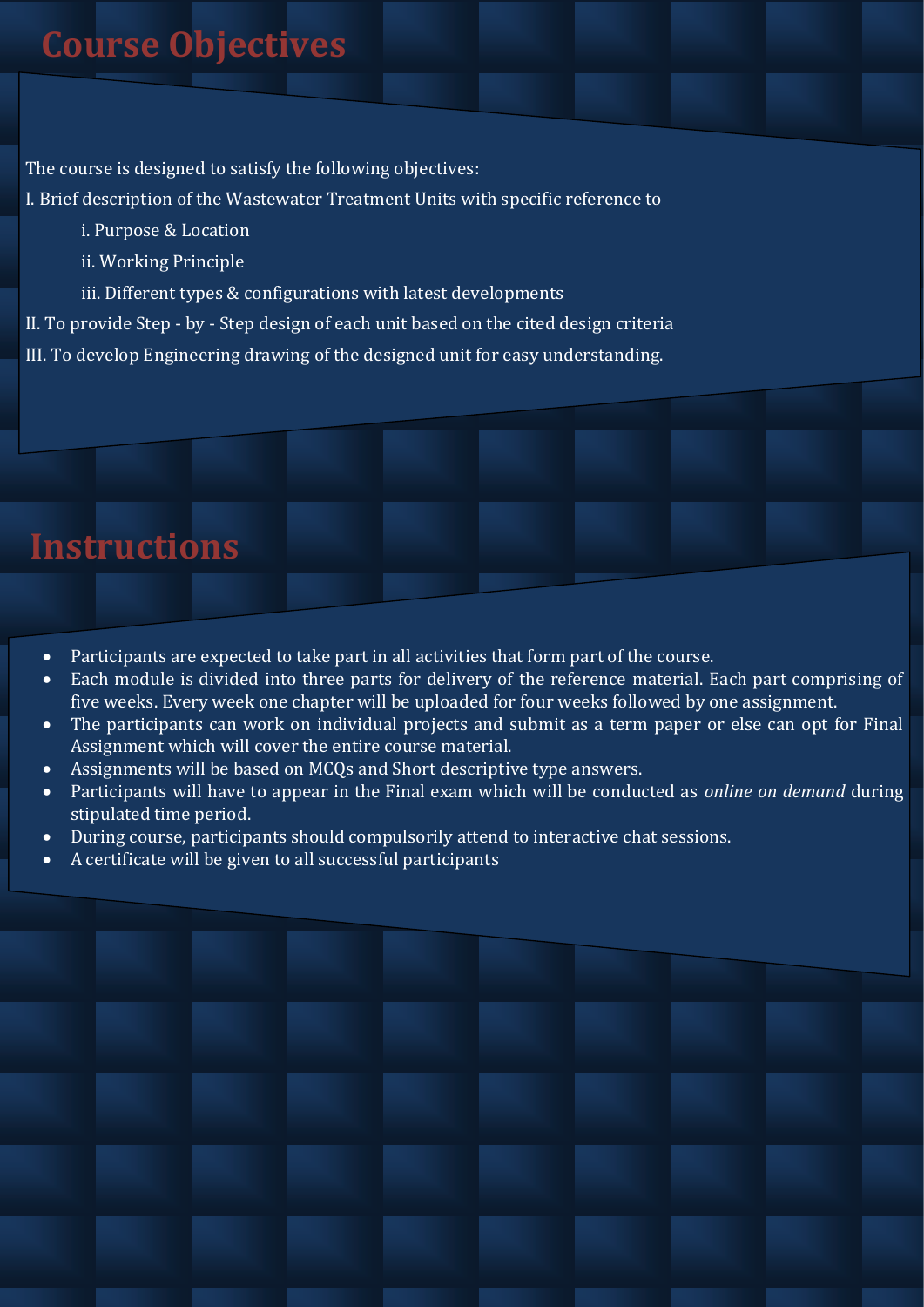The course is designed to satisfy the following objectives:

I. Brief description of the Wastewater Treatment Units with specific reference to

- i. Purpose & Location
- ii. Working Principle
- iii. Different types & configurations with latest developments

II. To provide Step - by - Step design of each unit based on the cited design criteria

III. To develop Engineering drawing of the designed unit for easy understanding.

## **Instructions**

- Participants are expected to take part in all activities that form part of the course.
- Each module is divided into three parts for delivery of the reference material. Each part comprising of five weeks. Every week one chapter will be uploaded for four weeks followed by one assignment.
- The participants can work on individual projects and submit as a term paper or else can opt for Final Assignment which will cover the entire course material.
- Assignments will be based on MCQs and Short descriptive type answers.
- Participants will have to appear in the Final exam which will be conducted as *online on demand* during stipulated time period.
- During course, participants should compulsorily attend to interactive chat sessions.
- A certificate will be given to all successful participants

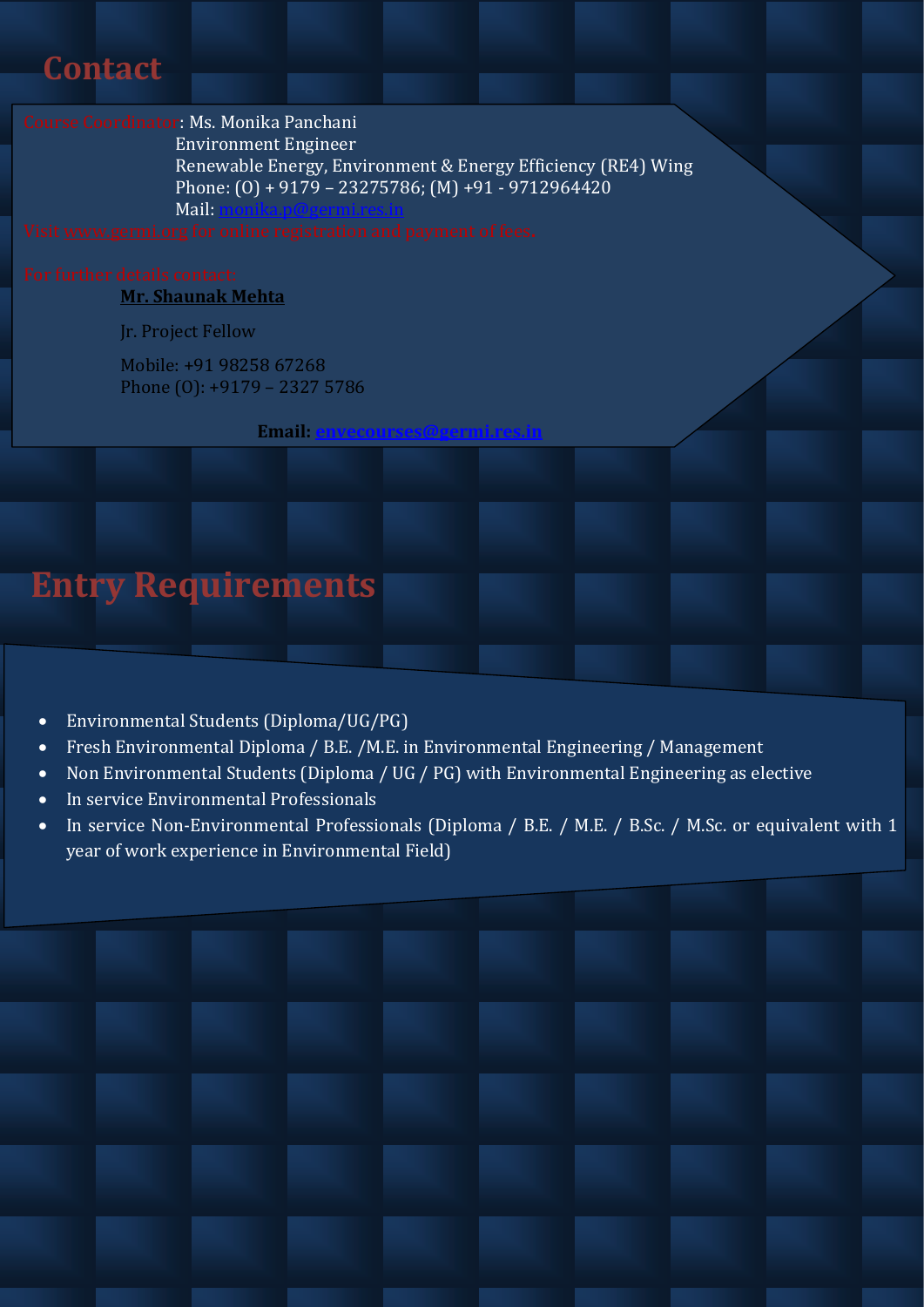## **Contact**

### Course Coordinator: Ms. Monika Panchani

 Environment Engineer Renewable Energy, Environment & Energy Efficiency (RE4) Wing Phone: (O) + 9179 – 23275786; (M) +91 - 9712964420 Mail:<monika.p@germi.res.in>

# **Mr. Shaunak Mehta**

Jr. Project Fellow

Mobile: +91 98258 67268 Phone (O): +9179 – 2327 5786

**Email:** 

# **Entry Requirements**

- Environmental Students (Diploma/UG/PG)
- Fresh Environmental Diploma / B.E. /M.E. in Environmental Engineering / Management
- Non Environmental Students (Diploma / UG / PG) with Environmental Engineering as elective
- In service Environmental Professionals
- In service Non-Environmental Professionals (Diploma / B.E. / M.E. / B.Sc. / M.Sc. or equivalent with 1 year of work experience in Environmental Field)